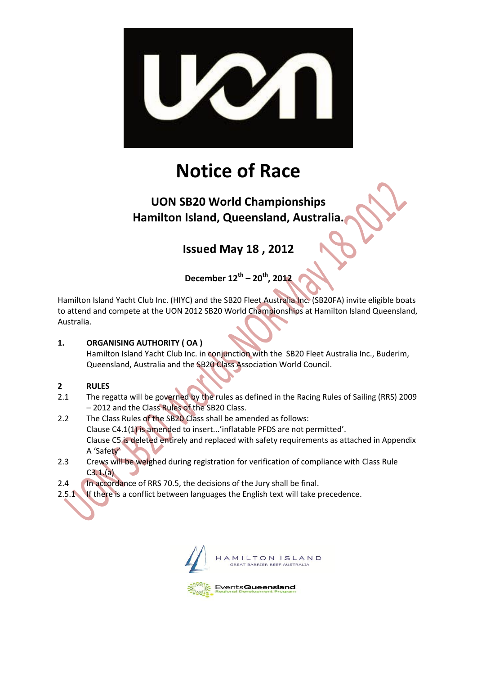

# **Notice of Race**

# **UON SB20 World Championships Hamilton Island, Queensland, Australia.**

# **Issued May 18 , 2012**

**December 12th – 20th, 2012**

Hamilton Island Yacht Club Inc. (HIYC) and the SB20 Fleet Australia Inc. (SB20FA) invite eligible boats to attend and compete at the UON 2012 SB20 World Championships at Hamilton Island Queensland, Australia.

#### **1. ORGANISING AUTHORITY ( OA )**

Hamilton Island Yacht Club Inc. in conjunction with the SB20 Fleet Australia Inc., Buderim, Queensland, Australia and the SB20 Class Association World Council.

#### **2 RULES**

- 2.1 The regatta will be governed by the rules as defined in the Racing Rules of Sailing (RRS) 2009 – 2012 and the Class Rules of the SB20 Class.
- 2.2 The Class Rules of the SB20 Class shall be amended as follows: Clause C4.1(1) is amended to insert...'inflatable PFDS are not permitted'. Clause C5 is deleted entirely and replaced with safety requirements as attached in Appendix A 'Safety'
- 2.3 Crews will be weighed during registration for verification of compliance with Class Rule C3.1.(a)
- 2.4 In accordance of RRS 70.5, the decisions of the Jury shall be final.
- 2.5.1 If there is a conflict between languages the English text will take precedence.



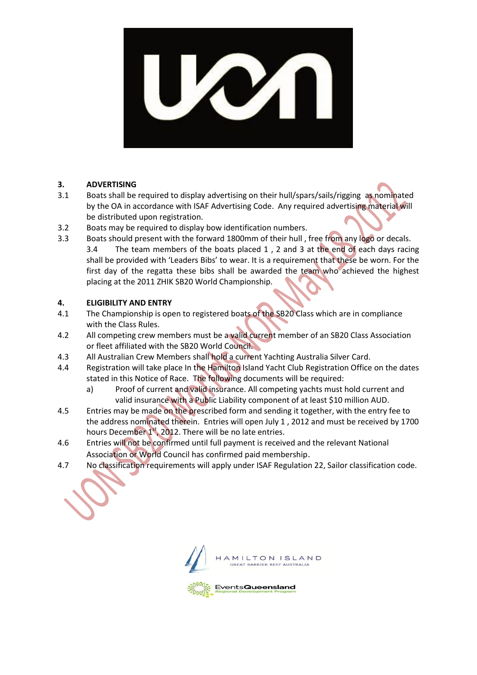#### **3. ADVERTISING**

- 3.1 Boats shall be required to display advertising on their hull/spars/sails/rigging as nominated by the OA in accordance with ISAF Advertising Code. Any required advertising material will be distributed upon registration.
- 3.2 Boats may be required to display bow identification numbers.
- 3.3 Boats should present with the forward 1800mm of their hull , free from any logo or decals. 3.4 The team members of the boats placed 1 , 2 and 3 at the end of each days racing shall be provided with 'Leaders Bibs' to wear. It is a requirement that these be worn. For the first day of the regatta these bibs shall be awarded the team who achieved the highest placing at the 2011 ZHIK SB20 World Championship.

#### **4. ELIGIBILITY AND ENTRY**

- 4.1 The Championship is open to registered boats of the SB20 Class which are in compliance with the Class Rules.
- 4.2 All competing crew members must be a valid current member of an SB20 Class Association or fleet affiliated with the SB20 World Council.
- 4.3 All Australian Crew Members shall hold a current Yachting Australia Silver Card.
- 4.4 Registration will take place In the Hamilton Island Yacht Club Registration Office on the dates stated in this Notice of Race. The following documents will be required:
	- a) Proof of current and valid insurance. All competing yachts must hold current and valid insurance with a Public Liability component of at least \$10 million AUD.
- 4.5 Entries may be made on the prescribed form and sending it together, with the entry fee to the address nominated therein. Entries will open July 1 , 2012 and must be received by 1700 hours December 1<sup>st</sup>, 2012. There will be no late entries.
- 4.6 Entries will not be confirmed until full payment is received and the relevant National Association or World Council has confirmed paid membership.
- 4.7 No classification requirements will apply under ISAF Regulation 22, Sailor classification code.





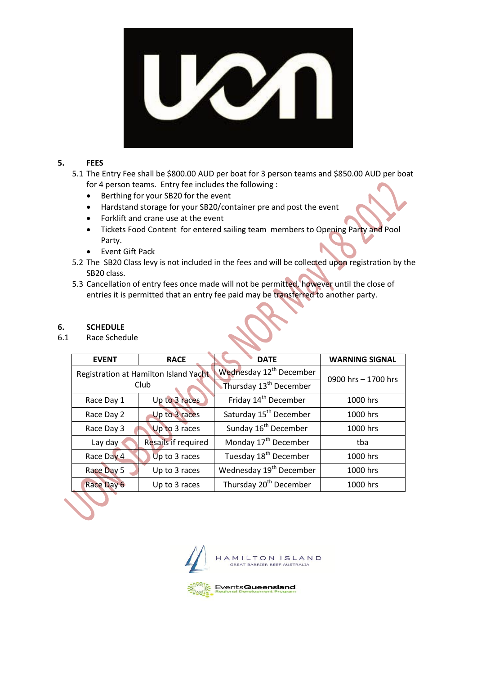

#### **5. FEES**

5.1 The Entry Fee shall be \$800.00 AUD per boat for 3 person teams and \$850.00 AUD per boat for 4 person teams. Entry fee includes the following :

- Berthing for your SB20 for the event
- Hardstand storage for your SB20/container pre and post the event
- Forklift and crane use at the event
- Tickets Food Content for entered sailing team members to Opening Party and Pool Party.
- Event Gift Pack
- 5.2 The SB20 Class levy is not included in the fees and will be collected upon registration by the SB20 class.
- 5.3 Cancellation of entry fees once made will not be permitted, however until the close of entries it is permitted that an entry fee paid may be transferred to another party.

#### **6. SCHEDULE**

#### 6.1 Race Schedule

| <b>EVENT</b>                          | <b>RACE</b>         | <b>DATE</b>                         | <b>WARNING SIGNAL</b> |
|---------------------------------------|---------------------|-------------------------------------|-----------------------|
| Registration at Hamilton Island Yacht |                     | Wednesday 12 <sup>th</sup> December | 0900 hrs - 1700 hrs   |
| Club                                  |                     | Thursday 13 <sup>th</sup> December  |                       |
| Race Day 1                            | Up to 3 races       | Friday 14 <sup>th</sup> December    | 1000 hrs              |
| Race Day 2                            | Up to 3 races       | Saturday 15 <sup>th</sup> December  | 1000 hrs              |
| Race Day 3                            | Up to 3 races       | Sunday 16 <sup>th</sup> December    | 1000 hrs              |
| Lay day                               | Resails if required | Monday 17 <sup>th</sup> December    | tba                   |
| Race Day 4                            | Up to 3 races       | Tuesday 18 <sup>th</sup> December   | 1000 hrs              |
| Race Day 5                            | Up to 3 races       | Wednesday 19 <sup>th</sup> December | 1000 hrs              |
| Race Day 6                            | Up to 3 races       | Thursday 20 <sup>th</sup> December  | 1000 hrs              |



**EventsQueensland**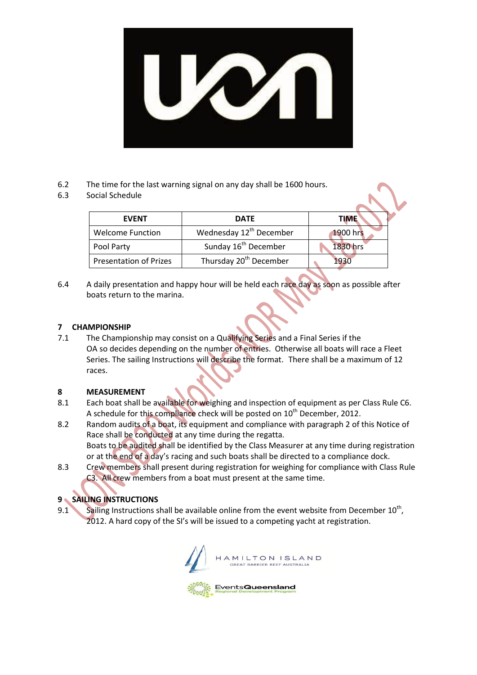- 6.2 The time for the last warning signal on any day shall be 1600 hours.
- 6.3 Social Schedule

| <b>EVENT</b>                  | <b>DATE</b>                         | <b>TIME</b>     |
|-------------------------------|-------------------------------------|-----------------|
| <b>Welcome Function</b>       | Wednesday 12 <sup>th</sup> December | <b>1900 hrs</b> |
| Pool Party                    | Sunday 16 <sup>th</sup> December    | 1830 hrs        |
| <b>Presentation of Prizes</b> | Thursday 20 <sup>th</sup> December  |                 |

6.4 A daily presentation and happy hour will be held each race day as soon as possible after boats return to the marina.

#### **7 CHAMPIONSHIP**

7.1 The Championship may consist on a Qualifying Series and a Final Series if the OA so decides depending on the number of entries. Otherwise all boats will race a Fleet Series. The sailing Instructions will describe the format. There shall be a maximum of 12 races.

#### **8 MEASUREMENT**

- 8.1 Each boat shall be available for weighing and inspection of equipment as per Class Rule C6. A schedule for this compliance check will be posted on 10<sup>th</sup> December, 2012.
- 8.2 Random audits of a boat, its equipment and compliance with paragraph 2 of this Notice of Race shall be conducted at any time during the regatta. Boats to be audited shall be identified by the Class Measurer at any time during registration or at the end of a day's racing and such boats shall be directed to a compliance dock.
- 8.3 Crew members shall present during registration for weighing for compliance with Class Rule C3. All crew members from a boat must present at the same time.

### **9 SAILING INSTRUCTIONS**

9.1 Sailing Instructions shall be available online from the event website from December  $10^{th}$ , 2012. A hard copy of the SI's will be issued to a competing yacht at registration.

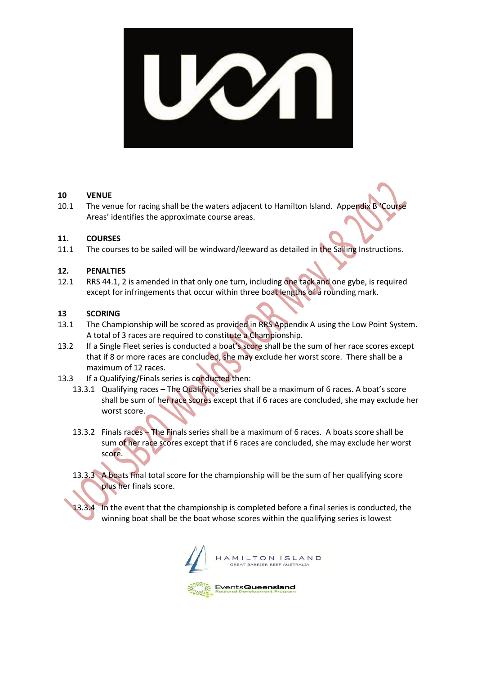#### **10 VENUE**

10.1 The venue for racing shall be the waters adjacent to Hamilton Island. Appendix B 'Course Areas' identifies the approximate course areas.

#### **11. COURSES**

11.1 The courses to be sailed will be windward/leeward as detailed in the Sailing Instructions.

#### **12. PENALTIES**

12.1 RRS 44.1, 2 is amended in that only one turn, including one tack and one gybe, is required except for infringements that occur within three boat lengths of a rounding mark.

#### **13 SCORING**

- 13.1 The Championship will be scored as provided in RRS Appendix A using the Low Point System. A total of 3 races are required to constitute a Championship.
- 13.2 If a Single Fleet series is conducted a boat's score shall be the sum of her race scores except that if 8 or more races are concluded, she may exclude her worst score. There shall be a maximum of 12 races.
- 13.3 If a Qualifying/Finals series is conducted then:
	- 13.3.1 Qualifying races The Qualifying series shall be a maximum of 6 races. A boat's score shall be sum of her race scores except that if 6 races are concluded, she may exclude her worst score.
	- 13.3.2 Finals races The Finals series shall be a maximum of 6 races. A boats score shall be sum of her race scores except that if 6 races are concluded, she may exclude her worst score.
	- 13.3.3 A boats final total score for the championship will be the sum of her qualifying score plus her finals score.

13.3.4 In the event that the championship is completed before a final series is conducted, the winning boat shall be the boat whose scores within the qualifying series is lowest



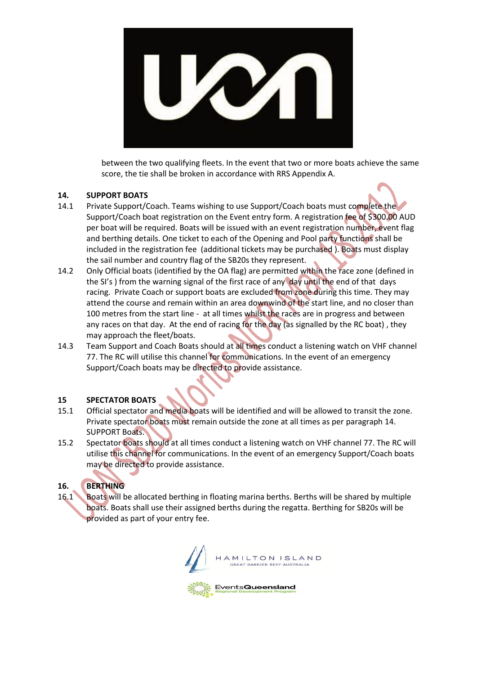

between the two qualifying fleets. In the event that two or more boats achieve the same score, the tie shall be broken in accordance with RRS Appendix A.

#### **14. SUPPORT BOATS**

- 14.1 Private Support/Coach. Teams wishing to use Support/Coach boats must complete the Support/Coach boat registration on the Event entry form. A registration fee of \$300.00 AUD per boat will be required. Boats will be issued with an event registration number, event flag and berthing details. One ticket to each of the Opening and Pool party functions shall be included in the registration fee (additional tickets may be purchased ). Boats must display the sail number and country flag of the SB20s they represent.
- 14.2 Only Official boats (identified by the OA flag) are permitted within the race zone (defined in the SI's ) from the warning signal of the first race of any day until the end of that days racing. Private Coach or support boats are excluded from zone during this time. They may attend the course and remain within an area downwind of the start line, and no closer than 100 metres from the start line - at all times whilst the races are in progress and between any races on that day. At the end of racing for the day (as signalled by the RC boat), they may approach the fleet/boats.
- 14.3 Team Support and Coach Boats should at all times conduct a listening watch on VHF channel 77. The RC will utilise this channel for communications. In the event of an emergency Support/Coach boats may be directed to provide assistance.

#### **15 SPECTATOR BOATS**

- 15.1 Official spectator and media boats will be identified and will be allowed to transit the zone. Private spectator boats must remain outside the zone at all times as per paragraph 14. SUPPORT Boats.
- 15.2 Spectator boats should at all times conduct a listening watch on VHF channel 77. The RC will utilise this channel for communications. In the event of an emergency Support/Coach boats may be directed to provide assistance.

#### **16. BERTHING**

16.1 Boats will be allocated berthing in floating marina berths. Berths will be shared by multiple boats. Boats shall use their assigned berths during the regatta. Berthing for SB20s will be provided as part of your entry fee.

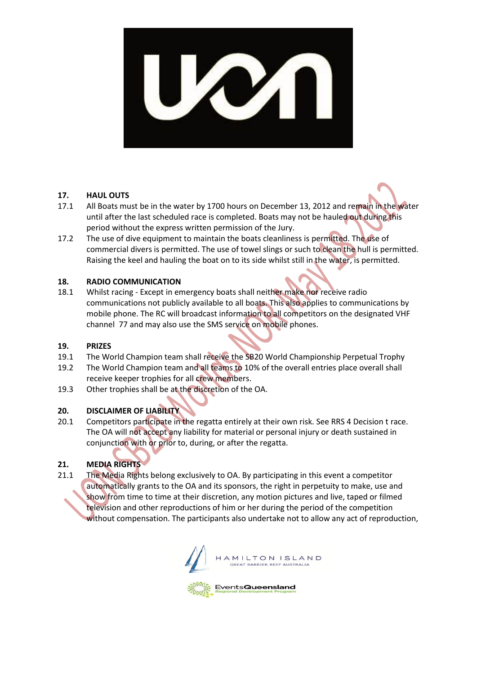JZ.

#### **17. HAUL OUTS**

- 17.1 All Boats must be in the water by 1700 hours on December 13, 2012 and remain in the water until after the last scheduled race is completed. Boats may not be hauled out during this period without the express written permission of the Jury.
- 17.2 The use of dive equipment to maintain the boats cleanliness is permitted. The use of commercial divers is permitted. The use of towel slings or such to clean the hull is permitted. Raising the keel and hauling the boat on to its side whilst still in the water, is permitted.

#### **18. RADIO COMMUNICATION**

18.1 Whilst racing - Except in emergency boats shall neither make nor receive radio communications not publicly available to all boats. This also applies to communications by mobile phone. The RC will broadcast information to all competitors on the designated VHF channel 77 and may also use the SMS service on mobile phones.

#### **19. PRIZES**

- 19.1 The World Champion team shall receive the SB20 World Championship Perpetual Trophy
- 19.2 The World Champion team and all teams to 10% of the overall entries place overall shall receive keeper trophies for all crew members.
- 19.3 Other trophies shall be at the discretion of the OA.

#### **20. DISCLAIMER OF LIABILITY**

20.1 Competitors participate in the regatta entirely at their own risk. See RRS 4 Decision t race. The OA will not accept any liability for material or personal injury or death sustained in conjunction with or prior to, during, or after the regatta.

#### **21. MEDIA RIGHTS**

21.1 The Media Rights belong exclusively to OA. By participating in this event a competitor automatically grants to the OA and its sponsors, the right in perpetuity to make, use and show from time to time at their discretion, any motion pictures and live, taped or filmed television and other reproductions of him or her during the period of the competition without compensation. The participants also undertake not to allow any act of reproduction,

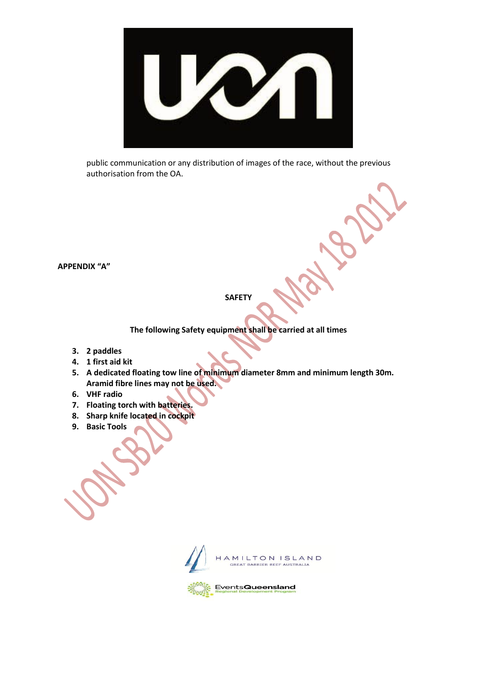

public communication or any distribution of images of the race, without the previous authorisation from the OA.

**APPENDIX "A"**

#### **SAFETY**

**The following Safety equipment shall be carried at all times**

- **3. 2 paddles**
- **4. 1 first aid kit**
- **5. A dedicated floating tow line of minimum diameter 8mm and minimum length 30m. Aramid fibre lines may not be used.**
- **6. VHF radio**
- **7. Floating torch with batteries.**
- **8. Sharp knife located in cockpit**
- **9. Basic Tools**



EventsQueensland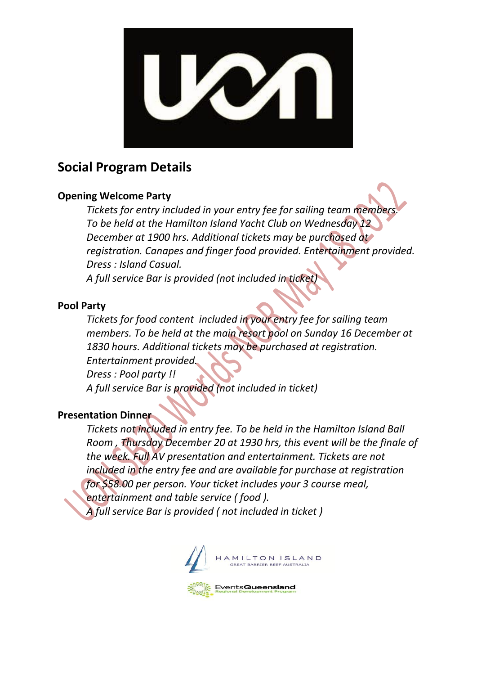

# **Social Program Details**

### **Opening Welcome Party**

*Tickets for entry included in your entry fee for sailing team members. To be held at the Hamilton Island Yacht Club on Wednesday 12 December at 1900 hrs. Additional tickets may be purchased at registration. Canapes and finger food provided. Entertainment provided. Dress : Island Casual.* 

*A full service Bar is provided (not included in ticket)*

### **Pool Party**

*Tickets for food content included in your entry fee for sailing team members. To be held at the main resort pool on Sunday 16 December at 1830 hours. Additional tickets may be purchased at registration. Entertainment provided. Dress : Pool party !!* 

*A full service Bar is provided (not included in ticket)*

### **Presentation Dinner**

*Tickets not included in entry fee. To be held in the Hamilton Island Ball Room , Thursday December 20 at 1930 hrs, this event will be the finale of the week. Full AV presentation and entertainment. Tickets are not included in the entry fee and are available for purchase at reaistration for \$58.00 per person. Your ticket includes your 3 course meal, entertainment and table service ( food ). A full service Bar is provided ( not included in ticket )*

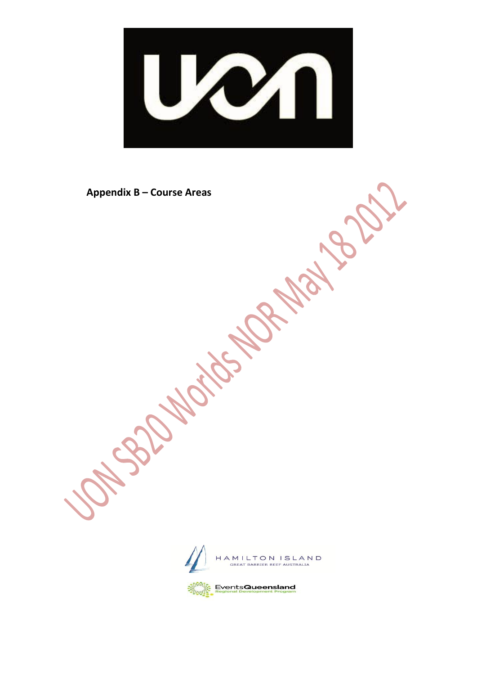**Appendix B – Course Areas**



H A M I L T O N I S L A N D<br>GREAT BARRIER REEF AUSTRALIA